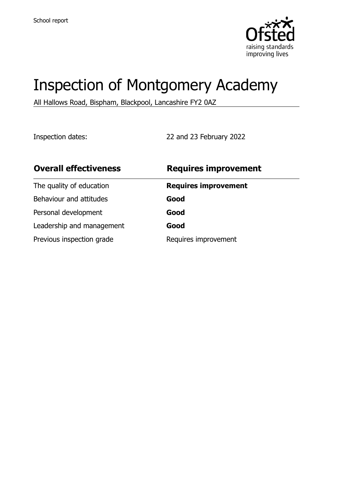

# Inspection of Montgomery Academy

All Hallows Road, Bispham, Blackpool, Lancashire FY2 0AZ

Inspection dates: 22 and 23 February 2022

| <b>Overall effectiveness</b> | <b>Requires improvement</b> |
|------------------------------|-----------------------------|
| The quality of education     | <b>Requires improvement</b> |
| Behaviour and attitudes      | Good                        |
| Personal development         | Good                        |
| Leadership and management    | Good                        |
| Previous inspection grade    | Requires improvement        |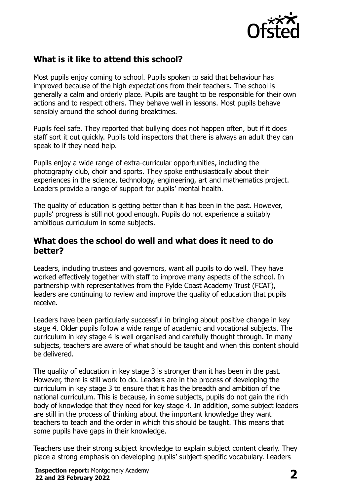

## **What is it like to attend this school?**

Most pupils enjoy coming to school. Pupils spoken to said that behaviour has improved because of the high expectations from their teachers. The school is generally a calm and orderly place. Pupils are taught to be responsible for their own actions and to respect others. They behave well in lessons. Most pupils behave sensibly around the school during breaktimes.

Pupils feel safe. They reported that bullying does not happen often, but if it does staff sort it out quickly. Pupils told inspectors that there is always an adult they can speak to if they need help.

Pupils enjoy a wide range of extra-curricular opportunities, including the photography club, choir and sports. They spoke enthusiastically about their experiences in the science, technology, engineering, art and mathematics project. Leaders provide a range of support for pupils' mental health.

The quality of education is getting better than it has been in the past. However, pupils' progress is still not good enough. Pupils do not experience a suitably ambitious curriculum in some subjects.

#### **What does the school do well and what does it need to do better?**

Leaders, including trustees and governors, want all pupils to do well. They have worked effectively together with staff to improve many aspects of the school. In partnership with representatives from the Fylde Coast Academy Trust (FCAT), leaders are continuing to review and improve the quality of education that pupils receive.

Leaders have been particularly successful in bringing about positive change in key stage 4. Older pupils follow a wide range of academic and vocational subjects. The curriculum in key stage 4 is well organised and carefully thought through. In many subjects, teachers are aware of what should be taught and when this content should be delivered.

The quality of education in key stage 3 is stronger than it has been in the past. However, there is still work to do. Leaders are in the process of developing the curriculum in key stage 3 to ensure that it has the breadth and ambition of the national curriculum. This is because, in some subjects, pupils do not gain the rich body of knowledge that they need for key stage 4. In addition, some subject leaders are still in the process of thinking about the important knowledge they want teachers to teach and the order in which this should be taught. This means that some pupils have gaps in their knowledge.

Teachers use their strong subject knowledge to explain subject content clearly. They place a strong emphasis on developing pupils' subject-specific vocabulary. Leaders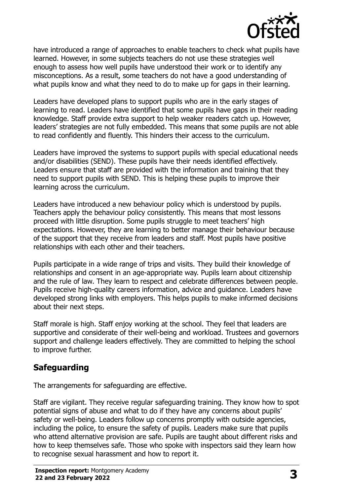

have introduced a range of approaches to enable teachers to check what pupils have learned. However, in some subjects teachers do not use these strategies well enough to assess how well pupils have understood their work or to identify any misconceptions. As a result, some teachers do not have a good understanding of what pupils know and what they need to do to make up for gaps in their learning.

Leaders have developed plans to support pupils who are in the early stages of learning to read. Leaders have identified that some pupils have gaps in their reading knowledge. Staff provide extra support to help weaker readers catch up. However, leaders' strategies are not fully embedded. This means that some pupils are not able to read confidently and fluently. This hinders their access to the curriculum.

Leaders have improved the systems to support pupils with special educational needs and/or disabilities (SEND). These pupils have their needs identified effectively. Leaders ensure that staff are provided with the information and training that they need to support pupils with SEND. This is helping these pupils to improve their learning across the curriculum.

Leaders have introduced a new behaviour policy which is understood by pupils. Teachers apply the behaviour policy consistently. This means that most lessons proceed with little disruption. Some pupils struggle to meet teachers' high expectations. However, they are learning to better manage their behaviour because of the support that they receive from leaders and staff. Most pupils have positive relationships with each other and their teachers.

Pupils participate in a wide range of trips and visits. They build their knowledge of relationships and consent in an age-appropriate way. Pupils learn about citizenship and the rule of law. They learn to respect and celebrate differences between people. Pupils receive high-quality careers information, advice and guidance. Leaders have developed strong links with employers. This helps pupils to make informed decisions about their next steps.

Staff morale is high. Staff enjoy working at the school. They feel that leaders are supportive and considerate of their well-being and workload. Trustees and governors support and challenge leaders effectively. They are committed to helping the school to improve further.

## **Safeguarding**

The arrangements for safeguarding are effective.

Staff are vigilant. They receive regular safeguarding training. They know how to spot potential signs of abuse and what to do if they have any concerns about pupils' safety or well-being. Leaders follow up concerns promptly with outside agencies, including the police, to ensure the safety of pupils. Leaders make sure that pupils who attend alternative provision are safe. Pupils are taught about different risks and how to keep themselves safe. Those who spoke with inspectors said they learn how to recognise sexual harassment and how to report it.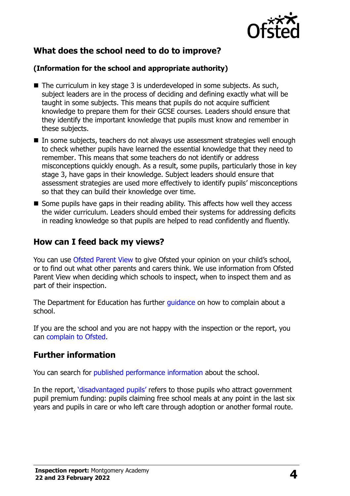

## **What does the school need to do to improve?**

#### **(Information for the school and appropriate authority)**

- $\blacksquare$  The curriculum in key stage 3 is underdeveloped in some subjects. As such, subject leaders are in the process of deciding and defining exactly what will be taught in some subjects. This means that pupils do not acquire sufficient knowledge to prepare them for their GCSE courses. Leaders should ensure that they identify the important knowledge that pupils must know and remember in these subjects.
- In some subjects, teachers do not always use assessment strategies well enough to check whether pupils have learned the essential knowledge that they need to remember. This means that some teachers do not identify or address misconceptions quickly enough. As a result, some pupils, particularly those in key stage 3, have gaps in their knowledge. Subject leaders should ensure that assessment strategies are used more effectively to identify pupils' misconceptions so that they can build their knowledge over time.
- $\blacksquare$  Some pupils have gaps in their reading ability. This affects how well they access the wider curriculum. Leaders should embed their systems for addressing deficits in reading knowledge so that pupils are helped to read confidently and fluently.

### **How can I feed back my views?**

You can use [Ofsted Parent View](http://parentview.ofsted.gov.uk/) to give Ofsted your opinion on your child's school, or to find out what other parents and carers think. We use information from Ofsted Parent View when deciding which schools to inspect, when to inspect them and as part of their inspection.

The Department for Education has further quidance on how to complain about a school.

If you are the school and you are not happy with the inspection or the report, you can [complain to Ofsted.](http://www.gov.uk/complain-ofsted-report)

## **Further information**

You can search for [published performance information](http://www.compare-school-performance.service.gov.uk/) about the school.

In the report, '[disadvantaged pupils](http://www.gov.uk/guidance/pupil-premium-information-for-schools-and-alternative-provision-settings)' refers to those pupils who attract government pupil premium funding: pupils claiming free school meals at any point in the last six years and pupils in care or who left care through adoption or another formal route.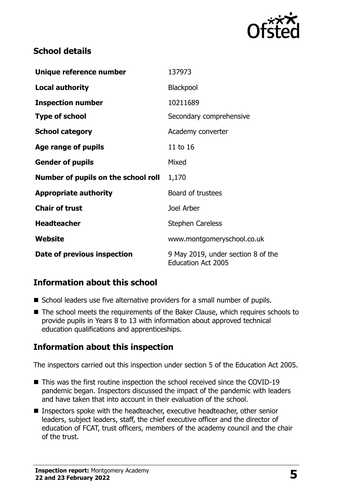

## **School details**

| Unique reference number             | 137973                                                          |
|-------------------------------------|-----------------------------------------------------------------|
| <b>Local authority</b>              | Blackpool                                                       |
| <b>Inspection number</b>            | 10211689                                                        |
| <b>Type of school</b>               | Secondary comprehensive                                         |
| <b>School category</b>              | Academy converter                                               |
| Age range of pupils                 | 11 to 16                                                        |
| <b>Gender of pupils</b>             | Mixed                                                           |
| Number of pupils on the school roll | 1,170                                                           |
| <b>Appropriate authority</b>        | Board of trustees                                               |
| <b>Chair of trust</b>               | Joel Arber                                                      |
| <b>Headteacher</b>                  | <b>Stephen Careless</b>                                         |
| Website                             | www.montgomeryschool.co.uk                                      |
| Date of previous inspection         | 9 May 2019, under section 8 of the<br><b>Education Act 2005</b> |

## **Information about this school**

- School leaders use five alternative providers for a small number of pupils.
- The school meets the requirements of the Baker Clause, which requires schools to provide pupils in Years 8 to 13 with information about approved technical education qualifications and apprenticeships.

### **Information about this inspection**

The inspectors carried out this inspection under section 5 of the Education Act 2005.

- This was the first routine inspection the school received since the COVID-19 pandemic began. Inspectors discussed the impact of the pandemic with leaders and have taken that into account in their evaluation of the school.
- Inspectors spoke with the headteacher, executive headteacher, other senior leaders, subject leaders, staff, the chief executive officer and the director of education of FCAT, trust officers, members of the academy council and the chair of the trust.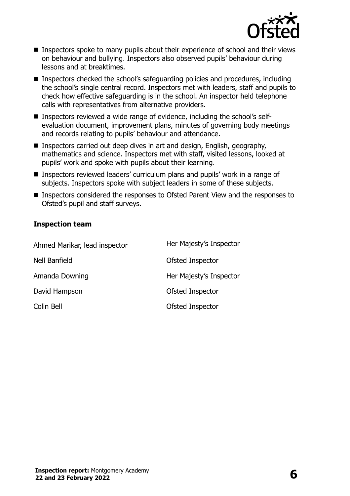

- **Inspectors spoke to many pupils about their experience of school and their views** on behaviour and bullying. Inspectors also observed pupils' behaviour during lessons and at breaktimes.
- Inspectors checked the school's safeguarding policies and procedures, including the school's single central record. Inspectors met with leaders, staff and pupils to check how effective safeguarding is in the school. An inspector held telephone calls with representatives from alternative providers.
- Inspectors reviewed a wide range of evidence, including the school's selfevaluation document, improvement plans, minutes of governing body meetings and records relating to pupils' behaviour and attendance.
- Inspectors carried out deep dives in art and design, English, geography, mathematics and science. Inspectors met with staff, visited lessons, looked at pupils' work and spoke with pupils about their learning.
- Inspectors reviewed leaders' curriculum plans and pupils' work in a range of subjects. Inspectors spoke with subject leaders in some of these subjects.
- Inspectors considered the responses to Ofsted Parent View and the responses to Ofsted's pupil and staff surveys.

#### **Inspection team**

| Ahmed Marikar, lead inspector | Her Majesty's Inspector |
|-------------------------------|-------------------------|
| Nell Banfield                 | Ofsted Inspector        |
| Amanda Downing                | Her Majesty's Inspector |
| David Hampson                 | Ofsted Inspector        |
| Colin Bell                    | Ofsted Inspector        |